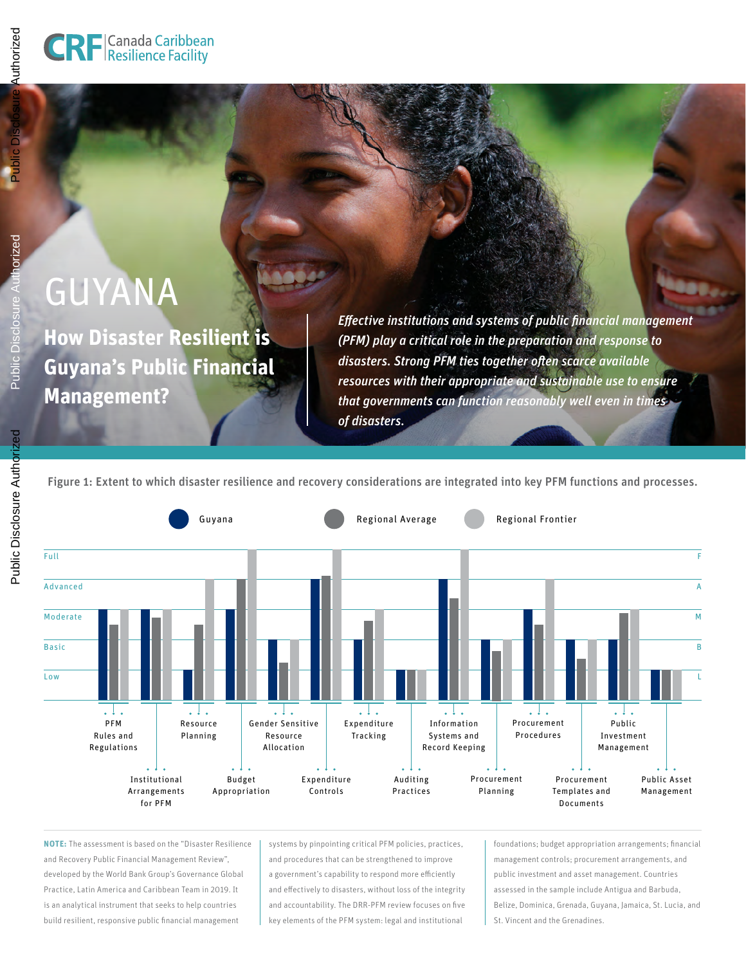orized

# GUYANA

**How Disaster Resilient is Guyana's Public Financial Management?**

*Effective institutions and systems of public financial management (PFM) play a critical role in the preparation and response to disasters. Strong PFM ties together often scarce available resources with their appropriate and sustainable use to ensure that governments can function reasonably well even in times of disasters.*

Figure 1: Extent to which disaster resilience and recovery considerations are integrated into key PFM functions and processes.



**NOTE:** The assessment is based on the "Disaster Resilience and Recovery Public Financial Management Review", developed by the World Bank Group's Governance Global Practice, Latin America and Caribbean Team in 2019. It is an analytical instrument that seeks to help countries build resilient, responsive public financial management

systems by pinpointing critical PFM policies, practices, and procedures that can be strengthened to improve a government's capability to respond more efficiently and effectively to disasters, without loss of the integrity and accountability. The DRR-PFM review focuses on five key elements of the PFM system: legal and institutional

foundations; budget appropriation arrangements; financial management controls; procurement arrangements, and public investment and asset management. Countries assessed in the sample include Antigua and Barbuda, Belize, Dominica, Grenada, Guyana, Jamaica, St. Lucia, and St. Vincent and the Grenadines.